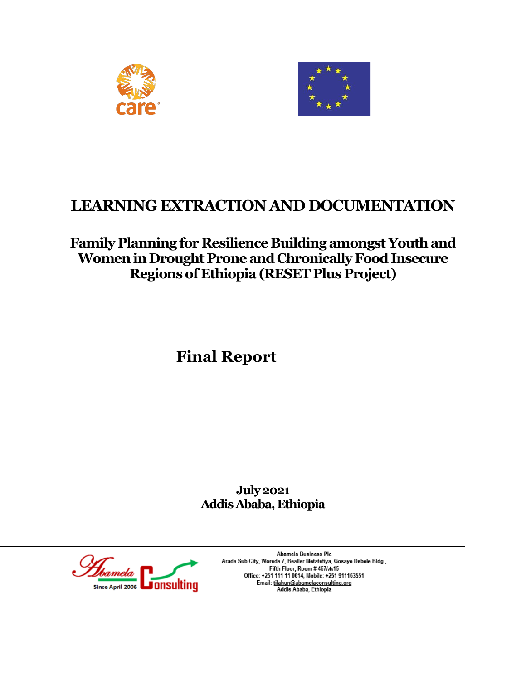



# **LEARNING EXTRACTION AND DOCUMENTATION**

## **Family Planning for Resilience Building amongst Youth and Women in Drought Prone and Chronically Food Insecure Regions of Ethiopia (RESET Plus Project)**

# **Final Report**

**July 2021 Addis Ababa, Ethiopia**



Abamela Business Plc Arada Sub City, Woreda 7, Bealler Metatefiya, Gosaye Debele Bldg., Fifth Floor, Room #467/A15 Office: +251 111 11 0614, Mobile: +251 911163551 Email: tilahun@abamelaconsulting.org<br>Email: tilahun@abamelaconsulting.org<br>Addis Ababa, Ethiopia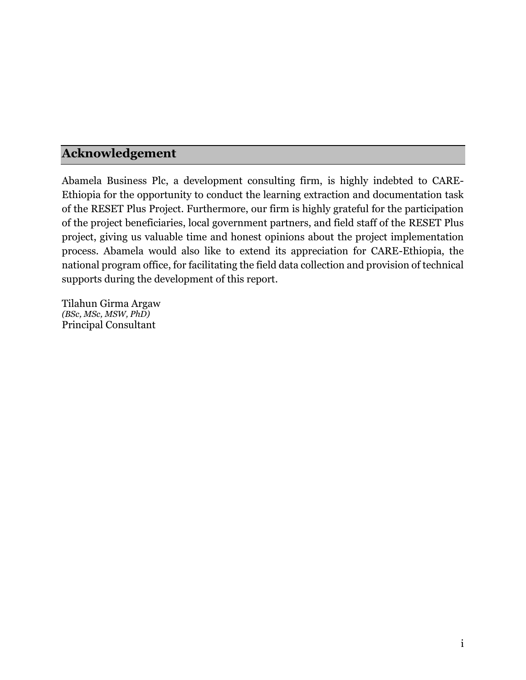## <span id="page-1-0"></span>**Acknowledgement**

Abamela Business Plc, a development consulting firm, is highly indebted to CARE-Ethiopia for the opportunity to conduct the learning extraction and documentation task of the RESET Plus Project. Furthermore, our firm is highly grateful for the participation of the project beneficiaries, local government partners, and field staff of the RESET Plus project, giving us valuable time and honest opinions about the project implementation process. Abamela would also like to extend its appreciation for CARE-Ethiopia, the national program office, for facilitating the field data collection and provision of technical supports during the development of this report.

Tilahun Girma Argaw *(BSc, MSc, MSW, PhD)* Principal Consultant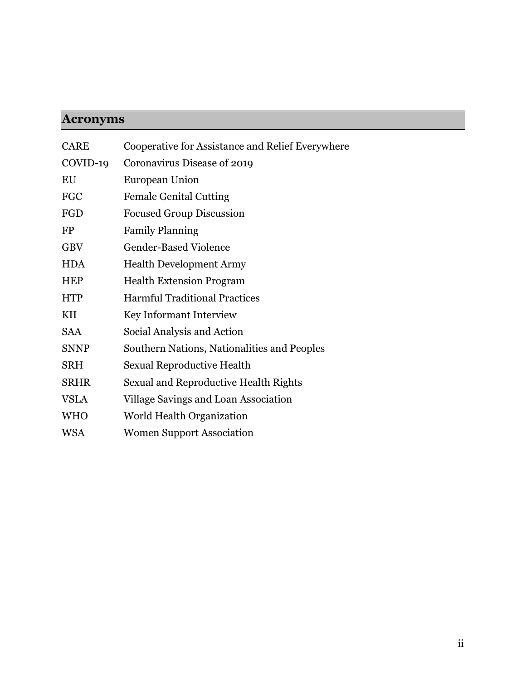# <span id="page-2-0"></span>**Acronyms**

| <b>CARE</b> | Cooperative for Assistance and Relief Everywhere |
|-------------|--------------------------------------------------|
| COVID-19    | Coronavirus Disease of 2019                      |
| EU          | <b>European Union</b>                            |
| <b>FGC</b>  | <b>Female Genital Cutting</b>                    |
| FGD         | <b>Focused Group Discussion</b>                  |
| <b>FP</b>   | <b>Family Planning</b>                           |
| <b>GBV</b>  | <b>Gender-Based Violence</b>                     |
| <b>HDA</b>  | <b>Health Development Army</b>                   |
| <b>HEP</b>  | <b>Health Extension Program</b>                  |
| <b>HTP</b>  | <b>Harmful Traditional Practices</b>             |
| KII         | Key Informant Interview                          |
| <b>SAA</b>  | Social Analysis and Action                       |
| <b>SNNP</b> | Southern Nations, Nationalities and Peoples      |
| <b>SRH</b>  | <b>Sexual Reproductive Health</b>                |
| <b>SRHR</b> | Sexual and Reproductive Health Rights            |
| <b>VSLA</b> | Village Savings and Loan Association             |
| <b>WHO</b>  | World Health Organization                        |
| WSA         | <b>Women Support Association</b>                 |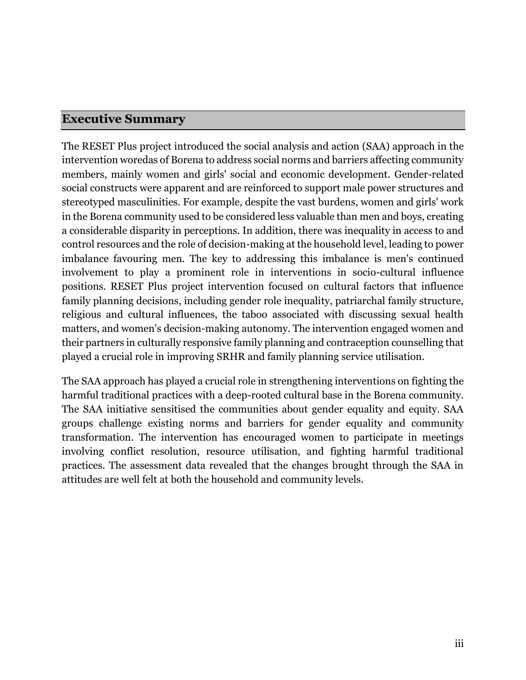### <span id="page-3-0"></span>**Executive Summary**

The RESET Plus project introduced the social analysis and action (SAA) approach in the intervention woredas of Borena to address social norms and barriers affecting community members, mainly women and girls' social and economic development. Gender-related social constructs were apparent and are reinforced to support male power structures and stereotyped masculinities. For example, despite the vast burdens, women and girls' work in the Borena community used to be considered less valuable than men and boys, creating a considerable disparity in perceptions. In addition, there was inequality in access to and control resources and the role of decision-making at the household level, leading to power imbalance favouring men. The key to addressing this imbalance is men's continued involvement to play a prominent role in interventions in socio-cultural influence positions. RESET Plus project intervention focused on cultural factors that influence family planning decisions, including gender role inequality, patriarchal family structure, religious and cultural influences, the taboo associated with discussing sexual health matters, and women's decision-making autonomy. The intervention engaged women and their partners in culturally responsive family planning and contraception counselling that played a crucial role in improving SRHR and family planning service utilisation.

The SAA approach has played a crucial role in strengthening interventions on fighting the harmful traditional practices with a deep-rooted cultural base in the Borena community. The SAA initiative sensitised the communities about gender equality and equity. SAA groups challenge existing norms and barriers for gender equality and community transformation. The intervention has encouraged women to participate in meetings involving conflict resolution, resource utilisation, and fighting harmful traditional practices. The assessment data revealed that the changes brought through the SAA in attitudes are well felt at both the household and community levels.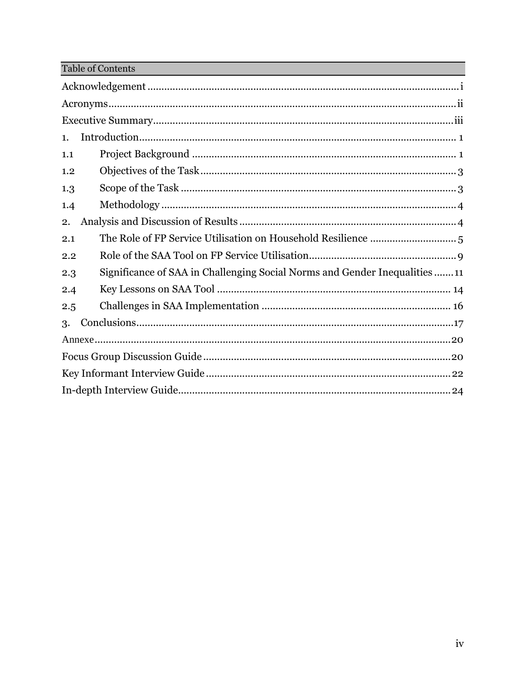Table of Contents

| 1.                                                                               |  |  |
|----------------------------------------------------------------------------------|--|--|
| 1.1                                                                              |  |  |
| 1.2                                                                              |  |  |
| 1.3                                                                              |  |  |
| 1.4                                                                              |  |  |
| 2.                                                                               |  |  |
| 2.1                                                                              |  |  |
| 2.2                                                                              |  |  |
| Significance of SAA in Challenging Social Norms and Gender Inequalities11<br>2.3 |  |  |
| 2.4                                                                              |  |  |
| 2.5                                                                              |  |  |
| 3.                                                                               |  |  |
|                                                                                  |  |  |
|                                                                                  |  |  |
|                                                                                  |  |  |
|                                                                                  |  |  |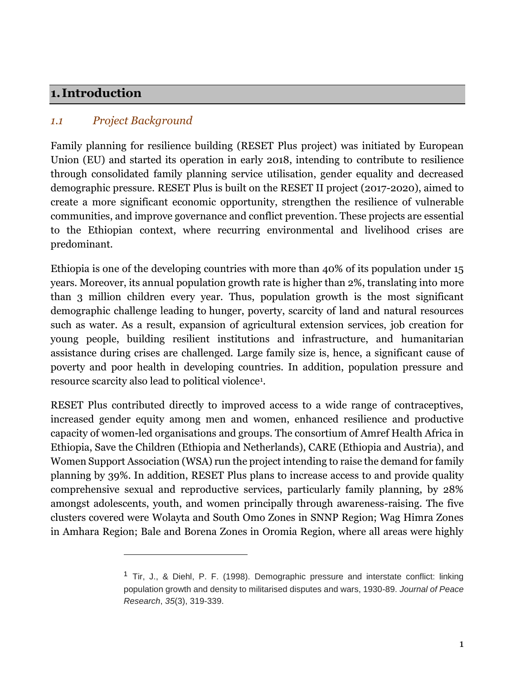### <span id="page-5-0"></span>**1. Introduction**

### <span id="page-5-1"></span>*1.1 Project Background*

 $\overline{a}$ 

Family planning for resilience building (RESET Plus project) was initiated by European Union (EU) and started its operation in early 2018, intending to contribute to resilience through consolidated family planning service utilisation, gender equality and decreased demographic pressure. RESET Plus is built on the RESET II project (2017-2020), aimed to create a more significant economic opportunity, strengthen the resilience of vulnerable communities, and improve governance and conflict prevention. These projects are essential to the Ethiopian context, where recurring environmental and livelihood crises are predominant.

Ethiopia is one of the developing countries with more than 40% of its population under 15 years. Moreover, its annual population growth rate is higher than 2%, translating into more than 3 million children every year. Thus, population growth is the most significant demographic challenge leading to hunger, poverty, scarcity of land and natural resources such as water. As a result, expansion of agricultural extension services, job creation for young people, building resilient institutions and infrastructure, and humanitarian assistance during crises are challenged. Large family size is, hence, a significant cause of poverty and poor health in developing countries. In addition, population pressure and resource scarcity also lead to political violence<sup>1</sup> .

RESET Plus contributed directly to improved access to a wide range of contraceptives, increased gender equity among men and women, enhanced resilience and productive capacity of women-led organisations and groups. The consortium of Amref Health Africa in Ethiopia, Save the Children (Ethiopia and Netherlands), CARE (Ethiopia and Austria), and Women Support Association (WSA) run the project intending to raise the demand for family planning by 39%. In addition, RESET Plus plans to increase access to and provide quality comprehensive sexual and reproductive services, particularly family planning, by 28% amongst adolescents, youth, and women principally through awareness-raising. The five clusters covered were Wolayta and South Omo Zones in SNNP Region; Wag Himra Zones in Amhara Region; Bale and Borena Zones in Oromia Region, where all areas were highly

<sup>&</sup>lt;sup>1</sup> Tir, J., & Diehl, P. F. (1998). Demographic pressure and interstate conflict: linking population growth and density to militarised disputes and wars, 1930-89. *Journal of Peace Research*, *35*(3), 319-339.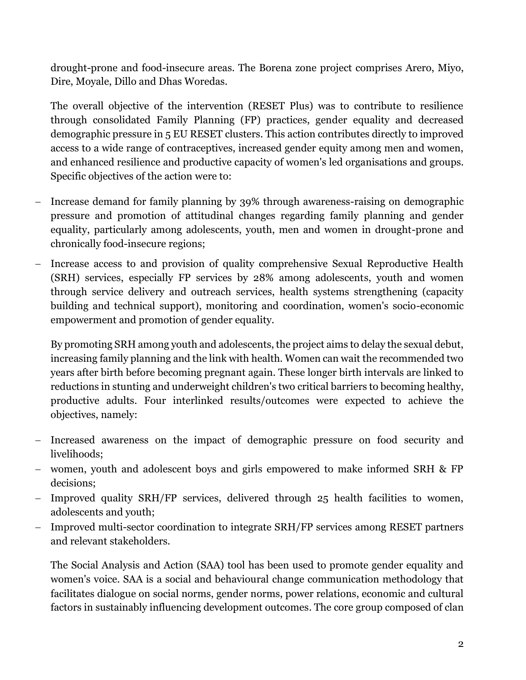drought-prone and food-insecure areas. The Borena zone project comprises Arero, Miyo, Dire, Moyale, Dillo and Dhas Woredas.

The overall objective of the intervention (RESET Plus) was to contribute to resilience through consolidated Family Planning (FP) practices, gender equality and decreased demographic pressure in 5 EU RESET clusters. This action contributes directly to improved access to a wide range of contraceptives, increased gender equity among men and women, and enhanced resilience and productive capacity of women's led organisations and groups. Specific objectives of the action were to:

- Increase demand for family planning by 39% through awareness-raising on demographic pressure and promotion of attitudinal changes regarding family planning and gender equality, particularly among adolescents, youth, men and women in drought-prone and chronically food-insecure regions;
- Increase access to and provision of quality comprehensive Sexual Reproductive Health (SRH) services, especially FP services by 28% among adolescents, youth and women through service delivery and outreach services, health systems strengthening (capacity building and technical support), monitoring and coordination, women's socio-economic empowerment and promotion of gender equality.

By promoting SRH among youth and adolescents, the project aims to delay the sexual debut, increasing family planning and the link with health. Women can wait the recommended two years after birth before becoming pregnant again. These longer birth intervals are linked to reductions in stunting and underweight children's two critical barriers to becoming healthy, productive adults. Four interlinked results/outcomes were expected to achieve the objectives, namely:

- Increased awareness on the impact of demographic pressure on food security and livelihoods;
- women, youth and adolescent boys and girls empowered to make informed SRH & FP decisions;
- Improved quality SRH/FP services, delivered through 25 health facilities to women, adolescents and youth;
- Improved multi-sector coordination to integrate SRH/FP services among RESET partners and relevant stakeholders.

The Social Analysis and Action (SAA) tool has been used to promote gender equality and women's voice. SAA is a social and behavioural change communication methodology that facilitates dialogue on social norms, gender norms, power relations, economic and cultural factors in sustainably influencing development outcomes. The core group composed of clan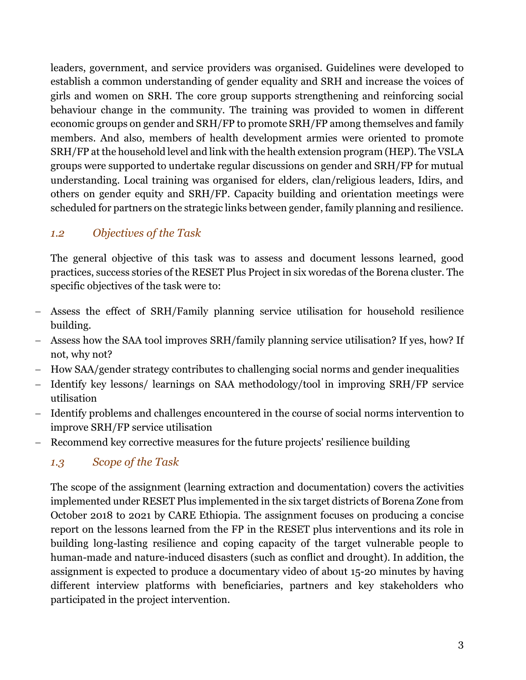leaders, government, and service providers was organised. Guidelines were developed to establish a common understanding of gender equality and SRH and increase the voices of girls and women on SRH. The core group supports strengthening and reinforcing social behaviour change in the community. The training was provided to women in different economic groups on gender and SRH/FP to promote SRH/FP among themselves and family members. And also, members of health development armies were oriented to promote SRH/FP at the household level and link with the health extension program (HEP). The VSLA groups were supported to undertake regular discussions on gender and SRH/FP for mutual understanding. Local training was organised for elders, clan/religious leaders, Idirs, and others on gender equity and SRH/FP. Capacity building and orientation meetings were scheduled for partners on the strategic links between gender, family planning and resilience.

### <span id="page-7-0"></span>*1.2 Objectives of the Task*

The general objective of this task was to assess and document lessons learned, good practices, success stories of the RESET Plus Project in six woredas of the Borena cluster. The specific objectives of the task were to:

- Assess the effect of SRH/Family planning service utilisation for household resilience building.
- Assess how the SAA tool improves SRH/family planning service utilisation? If yes, how? If not, why not?
- How SAA/gender strategy contributes to challenging social norms and gender inequalities
- Identify key lessons/ learnings on SAA methodology/tool in improving SRH/FP service utilisation
- Identify problems and challenges encountered in the course of social norms intervention to improve SRH/FP service utilisation
- Recommend key corrective measures for the future projects' resilience building

### <span id="page-7-1"></span>*1.3 Scope of the Task*

The scope of the assignment (learning extraction and documentation) covers the activities implemented under RESET Plus implemented in the six target districts of Borena Zone from October 2018 to 2021 by CARE Ethiopia. The assignment focuses on producing a concise report on the lessons learned from the FP in the RESET plus interventions and its role in building long-lasting resilience and coping capacity of the target vulnerable people to human-made and nature-induced disasters (such as conflict and drought). In addition, the assignment is expected to produce a documentary video of about 15-20 minutes by having different interview platforms with beneficiaries, partners and key stakeholders who participated in the project intervention.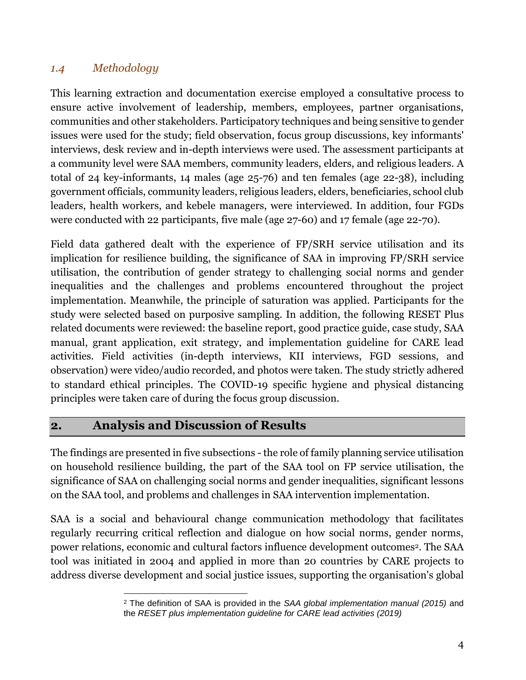### <span id="page-8-0"></span>*1.4 Methodology*

This learning extraction and documentation exercise employed a consultative process to ensure active involvement of leadership, members, employees, partner organisations, communities and other stakeholders. Participatory techniques and being sensitive to gender issues were used for the study; field observation, focus group discussions, key informants' interviews, desk review and in-depth interviews were used. The assessment participants at a community level were SAA members, community leaders, elders, and religious leaders. A total of 24 key-informants, 14 males (age 25-76) and ten females (age 22-38), including government officials, community leaders, religious leaders, elders, beneficiaries, school club leaders, health workers, and kebele managers, were interviewed. In addition, four FGDs were conducted with 22 participants, five male (age 27-60) and 17 female (age 22-70).

Field data gathered dealt with the experience of FP/SRH service utilisation and its implication for resilience building, the significance of SAA in improving FP/SRH service utilisation, the contribution of gender strategy to challenging social norms and gender inequalities and the challenges and problems encountered throughout the project implementation. Meanwhile, the principle of saturation was applied. Participants for the study were selected based on purposive sampling. In addition, the following RESET Plus related documents were reviewed: the baseline report, good practice guide, case study, SAA manual, grant application, exit strategy, and implementation guideline for CARE lead activities. Field activities (in-depth interviews, KII interviews, FGD sessions, and observation) were video/audio recorded, and photos were taken. The study strictly adhered to standard ethical principles. The COVID-19 specific hygiene and physical distancing principles were taken care of during the focus group discussion.

### <span id="page-8-1"></span>**2. Analysis and Discussion of Results**

The findings are presented in five subsections - the role of family planning service utilisation on household resilience building, the part of the SAA tool on FP service utilisation, the significance of SAA on challenging social norms and gender inequalities, significant lessons on the SAA tool, and problems and challenges in SAA intervention implementation.

SAA is a social and behavioural change communication methodology that facilitates regularly recurring critical reflection and dialogue on how social norms, gender norms, power relations, economic and cultural factors influence development outcomes<sup>2</sup>. The SAA tool was initiated in 2004 and applied in more than 20 countries by CARE projects to address diverse development and social justice issues, supporting the organisation's global

 $\overline{a}$ <sup>2</sup> The definition of SAA is provided in the *SAA global implementation manual (2015)* and the *RESET plus implementation guideline for CARE lead activities (2019)*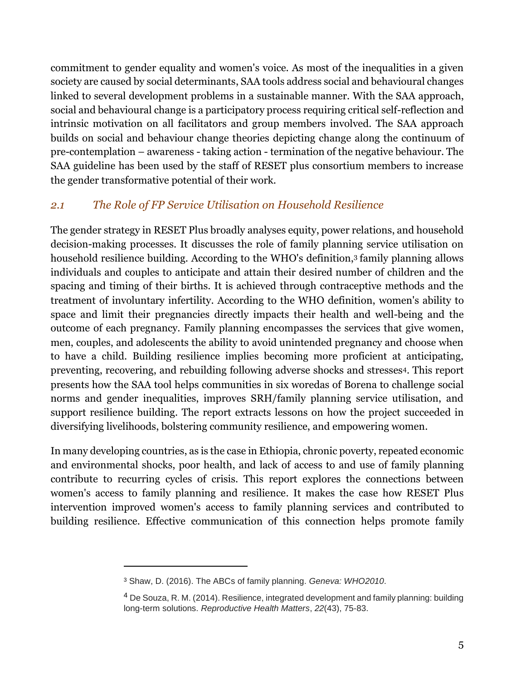commitment to gender equality and women's voice. As most of the inequalities in a given society are caused by social determinants, SAA tools address social and behavioural changes linked to several development problems in a sustainable manner. With the SAA approach, social and behavioural change is a participatory process requiring critical self-reflection and intrinsic motivation on all facilitators and group members involved. The SAA approach builds on social and behaviour change theories depicting change along the continuum of pre-contemplation – awareness - taking action - termination of the negative behaviour. The SAA guideline has been used by the staff of RESET plus consortium members to increase the gender transformative potential of their work.

### <span id="page-9-0"></span>*2.1 The Role of FP Service Utilisation on Household Resilience*

The gender strategy in RESET Plus broadly analyses equity, power relations, and household decision-making processes. It discusses the role of family planning service utilisation on household resilience building. According to the WHO's definition, <sup>3</sup> family planning allows individuals and couples to anticipate and attain their desired number of children and the spacing and timing of their births. It is achieved through contraceptive methods and the treatment of involuntary infertility. According to the WHO definition, women's ability to space and limit their pregnancies directly impacts their health and well-being and the outcome of each pregnancy. Family planning encompasses the services that give women, men, couples, and adolescents the ability to avoid unintended pregnancy and choose when to have a child. Building resilience implies becoming more proficient at anticipating, preventing, recovering, and rebuilding following adverse shocks and stresses4. This report presents how the SAA tool helps communities in six woredas of Borena to challenge social norms and gender inequalities, improves SRH/family planning service utilisation, and support resilience building. The report extracts lessons on how the project succeeded in diversifying livelihoods, bolstering community resilience, and empowering women.

In many developing countries, as is the case in Ethiopia, chronic poverty, repeated economic and environmental shocks, poor health, and lack of access to and use of family planning contribute to recurring cycles of crisis. This report explores the connections between women's access to family planning and resilience. It makes the case how RESET Plus intervention improved women's access to family planning services and contributed to building resilience. Effective communication of this connection helps promote family

 $\overline{a}$ 

<sup>3</sup> Shaw, D. (2016). The ABCs of family planning. *Geneva: WHO2010*.

<sup>4</sup> De Souza, R. M. (2014). Resilience, integrated development and family planning: building long-term solutions. *Reproductive Health Matters*, *22*(43), 75-83.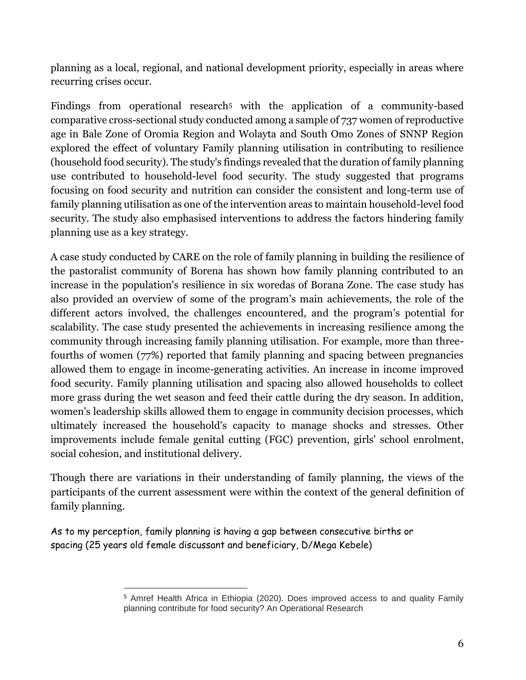planning as a local, regional, and national development priority, especially in areas where recurring crises occur.

Findings from operational research<sup>5</sup> with the application of a community-based comparative cross-sectional study conducted among a sample of 737 women of reproductive age in Bale Zone of Oromia Region and Wolayta and South Omo Zones of SNNP Region explored the effect of voluntary Family planning utilisation in contributing to resilience (household food security). The study's findings revealed that the duration of family planning use contributed to household-level food security. The study suggested that programs focusing on food security and nutrition can consider the consistent and long-term use of family planning utilisation as one of the intervention areas to maintain household-level food security. The study also emphasised interventions to address the factors hindering family planning use as a key strategy.

A case study conducted by CARE on the role of family planning in building the resilience of the pastoralist community of Borena has shown how family planning contributed to an increase in the population's resilience in six woredas of Borana Zone. The case study has also provided an overview of some of the program's main achievements, the role of the different actors involved, the challenges encountered, and the program's potential for scalability. The case study presented the achievements in increasing resilience among the community through increasing family planning utilisation. For example, more than threefourths of women (77%) reported that family planning and spacing between pregnancies allowed them to engage in income-generating activities. An increase in income improved food security. Family planning utilisation and spacing also allowed households to collect more grass during the wet season and feed their cattle during the dry season. In addition, women's leadership skills allowed them to engage in community decision processes, which ultimately increased the household's capacity to manage shocks and stresses. Other improvements include female genital cutting (FGC) prevention, girls' school enrolment, social cohesion, and institutional delivery.

Though there are variations in their understanding of family planning, the views of the participants of the current assessment were within the context of the general definition of family planning.

As to my perception, family planning is having a gap between consecutive births or spacing (25 years old female discussant and beneficiary, D/Mega Kebele)

 $\overline{a}$ <sup>5</sup> Amref Health Africa in Ethiopia (2020). Does improved access to and quality Family planning contribute for food security? An Operational Research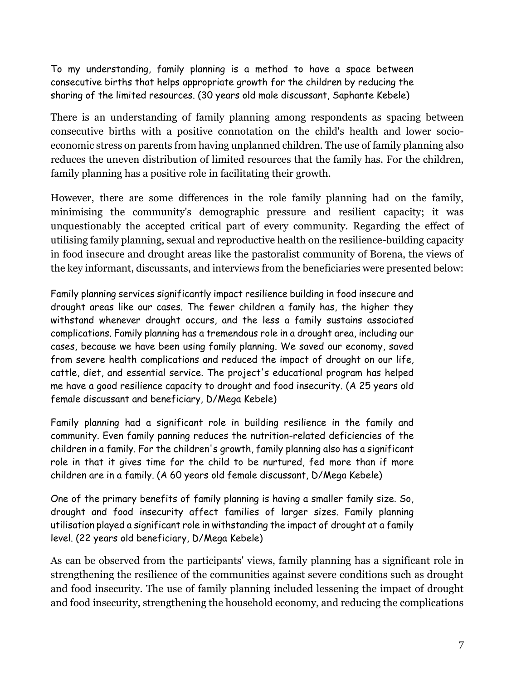To my understanding, family planning is a method to have a space between consecutive births that helps appropriate growth for the children by reducing the sharing of the limited resources. (30 years old male discussant, Saphante Kebele)

There is an understanding of family planning among respondents as spacing between consecutive births with a positive connotation on the child's health and lower socioeconomic stress on parents from having unplanned children. The use of family planning also reduces the uneven distribution of limited resources that the family has. For the children, family planning has a positive role in facilitating their growth.

However, there are some differences in the role family planning had on the family, minimising the community's demographic pressure and resilient capacity; it was unquestionably the accepted critical part of every community. Regarding the effect of utilising family planning, sexual and reproductive health on the resilience-building capacity in food insecure and drought areas like the pastoralist community of Borena, the views of the key informant, discussants, and interviews from the beneficiaries were presented below:

Family planning services significantly impact resilience building in food insecure and drought areas like our cases. The fewer children a family has, the higher they withstand whenever drought occurs, and the less a family sustains associated complications. Family planning has a tremendous role in a drought area, including our cases, because we have been using family planning. We saved our economy, saved from severe health complications and reduced the impact of drought on our life, cattle, diet, and essential service. The project's educational program has helped me have a good resilience capacity to drought and food insecurity. (A 25 years old female discussant and beneficiary, D/Mega Kebele)

Family planning had a significant role in building resilience in the family and community. Even family panning reduces the nutrition-related deficiencies of the children in a family. For the children's growth, family planning also has a significant role in that it gives time for the child to be nurtured, fed more than if more children are in a family. (A 60 years old female discussant, D/Mega Kebele)

One of the primary benefits of family planning is having a smaller family size. So, drought and food insecurity affect families of larger sizes. Family planning utilisation played a significant role in withstanding the impact of drought at a family level. (22 years old beneficiary, D/Mega Kebele)

As can be observed from the participants' views, family planning has a significant role in strengthening the resilience of the communities against severe conditions such as drought and food insecurity. The use of family planning included lessening the impact of drought and food insecurity, strengthening the household economy, and reducing the complications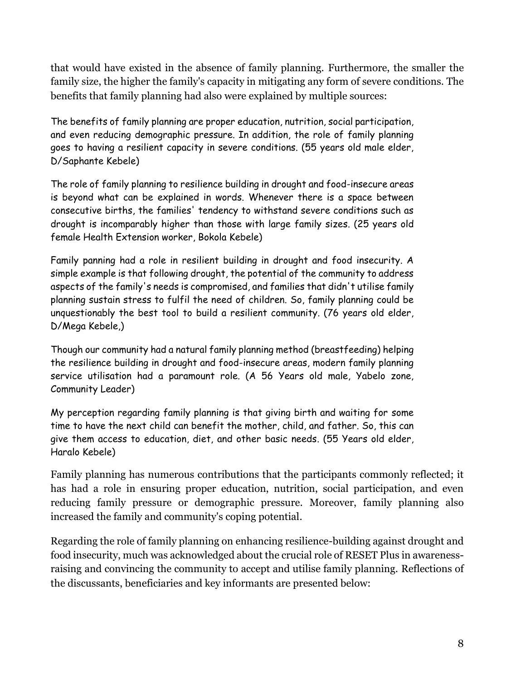that would have existed in the absence of family planning. Furthermore, the smaller the family size, the higher the family's capacity in mitigating any form of severe conditions. The benefits that family planning had also were explained by multiple sources:

The benefits of family planning are proper education, nutrition, social participation, and even reducing demographic pressure. In addition, the role of family planning goes to having a resilient capacity in severe conditions. (55 years old male elder, D/Saphante Kebele)

The role of family planning to resilience building in drought and food-insecure areas is beyond what can be explained in words. Whenever there is a space between consecutive births, the families' tendency to withstand severe conditions such as drought is incomparably higher than those with large family sizes. (25 years old female Health Extension worker, Bokola Kebele)

Family panning had a role in resilient building in drought and food insecurity. A simple example is that following drought, the potential of the community to address aspects of the family's needs is compromised, and families that didn't utilise family planning sustain stress to fulfil the need of children. So, family planning could be unquestionably the best tool to build a resilient community. (76 years old elder, D/Mega Kebele,)

Though our community had a natural family planning method (breastfeeding) helping the resilience building in drought and food-insecure areas, modern family planning service utilisation had a paramount role. (A 56 Years old male, Yabelo zone, Community Leader)

My perception regarding family planning is that giving birth and waiting for some time to have the next child can benefit the mother, child, and father. So, this can give them access to education, diet, and other basic needs. (55 Years old elder, Haralo Kebele)

Family planning has numerous contributions that the participants commonly reflected; it has had a role in ensuring proper education, nutrition, social participation, and even reducing family pressure or demographic pressure. Moreover, family planning also increased the family and community's coping potential.

Regarding the role of family planning on enhancing resilience-building against drought and food insecurity, much was acknowledged about the crucial role of RESET Plus in awarenessraising and convincing the community to accept and utilise family planning. Reflections of the discussants, beneficiaries and key informants are presented below: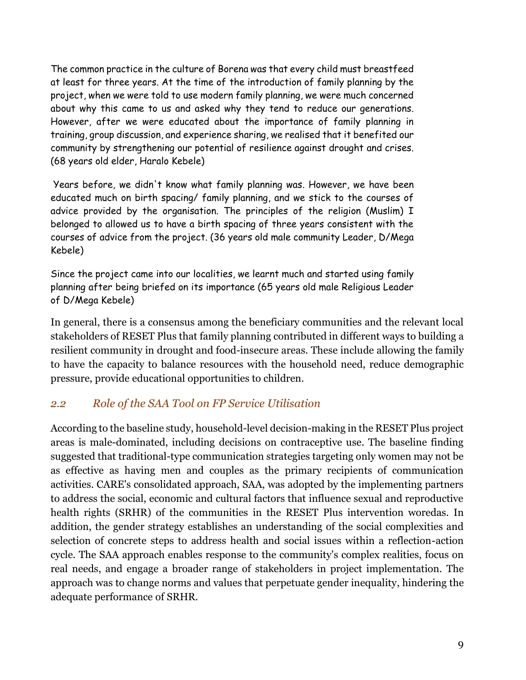The common practice in the culture of Borena was that every child must breastfeed at least for three years. At the time of the introduction of family planning by the project, when we were told to use modern family planning, we were much concerned about why this came to us and asked why they tend to reduce our generations. However, after we were educated about the importance of family planning in training, group discussion, and experience sharing, we realised that it benefited our community by strengthening our potential of resilience against drought and crises. (68 years old elder, Haralo Kebele)

Years before, we didn't know what family planning was. However, we have been educated much on birth spacing/ family planning, and we stick to the courses of advice provided by the organisation. The principles of the religion (Muslim) I belonged to allowed us to have a birth spacing of three years consistent with the courses of advice from the project. (36 years old male community Leader, D/Mega Kebele)

Since the project came into our localities, we learnt much and started using family planning after being briefed on its importance (65 years old male Religious Leader of D/Mega Kebele)

In general, there is a consensus among the beneficiary communities and the relevant local stakeholders of RESET Plus that family planning contributed in different ways to building a resilient community in drought and food-insecure areas. These include allowing the family to have the capacity to balance resources with the household need, reduce demographic pressure, provide educational opportunities to children.

### <span id="page-13-0"></span>*2.2 Role of the SAA Tool on FP Service Utilisation*

According to the baseline study, household-level decision-making in the RESET Plus project areas is male-dominated, including decisions on contraceptive use. The baseline finding suggested that traditional-type communication strategies targeting only women may not be as effective as having men and couples as the primary recipients of communication activities. CARE's consolidated approach, SAA, was adopted by the implementing partners to address the social, economic and cultural factors that influence sexual and reproductive health rights (SRHR) of the communities in the RESET Plus intervention woredas. In addition, the gender strategy establishes an understanding of the social complexities and selection of concrete steps to address health and social issues within a reflection-action cycle. The SAA approach enables response to the community's complex realities, focus on real needs, and engage a broader range of stakeholders in project implementation. The approach was to change norms and values that perpetuate gender inequality, hindering the adequate performance of SRHR.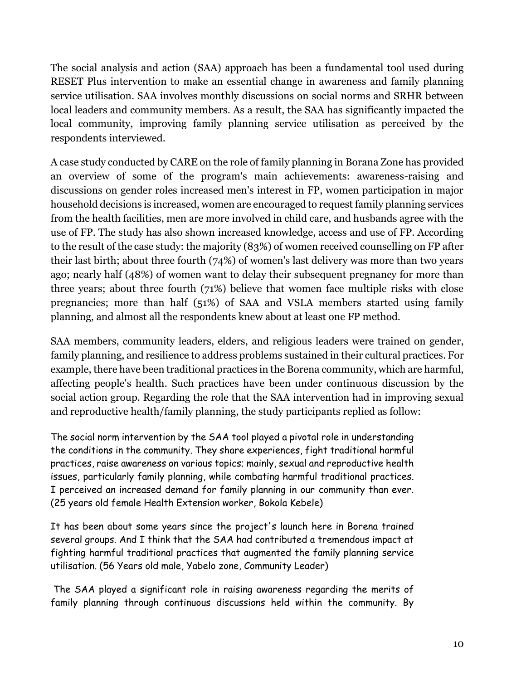The social analysis and action (SAA) approach has been a fundamental tool used during RESET Plus intervention to make an essential change in awareness and family planning service utilisation. SAA involves monthly discussions on social norms and SRHR between local leaders and community members. As a result, the SAA has significantly impacted the local community, improving family planning service utilisation as perceived by the respondents interviewed.

A case study conducted by CARE on the role of family planning in Borana Zone has provided an overview of some of the program's main achievements: awareness-raising and discussions on gender roles increased men's interest in FP, women participation in major household decisions is increased, women are encouraged to request family planning services from the health facilities, men are more involved in child care, and husbands agree with the use of FP. The study has also shown increased knowledge, access and use of FP. According to the result of the case study: the majority (83%) of women received counselling on FP after their last birth; about three fourth (74%) of women's last delivery was more than two years ago; nearly half (48%) of women want to delay their subsequent pregnancy for more than three years; about three fourth (71%) believe that women face multiple risks with close pregnancies; more than half (51%) of SAA and VSLA members started using family planning, and almost all the respondents knew about at least one FP method.

SAA members, community leaders, elders, and religious leaders were trained on gender, family planning, and resilience to address problems sustained in their cultural practices. For example, there have been traditional practices in the Borena community, which are harmful, affecting people's health. Such practices have been under continuous discussion by the social action group. Regarding the role that the SAA intervention had in improving sexual and reproductive health/family planning, the study participants replied as follow:

The social norm intervention by the SAA tool played a pivotal role in understanding the conditions in the community. They share experiences, fight traditional harmful practices, raise awareness on various topics; mainly, sexual and reproductive health issues, particularly family planning, while combating harmful traditional practices. I perceived an increased demand for family planning in our community than ever. (25 years old female Health Extension worker, Bokola Kebele)

It has been about some years since the project's launch here in Borena trained several groups. And I think that the SAA had contributed a tremendous impact at fighting harmful traditional practices that augmented the family planning service utilisation. (56 Years old male, Yabelo zone, Community Leader)

The SAA played a significant role in raising awareness regarding the merits of family planning through continuous discussions held within the community. By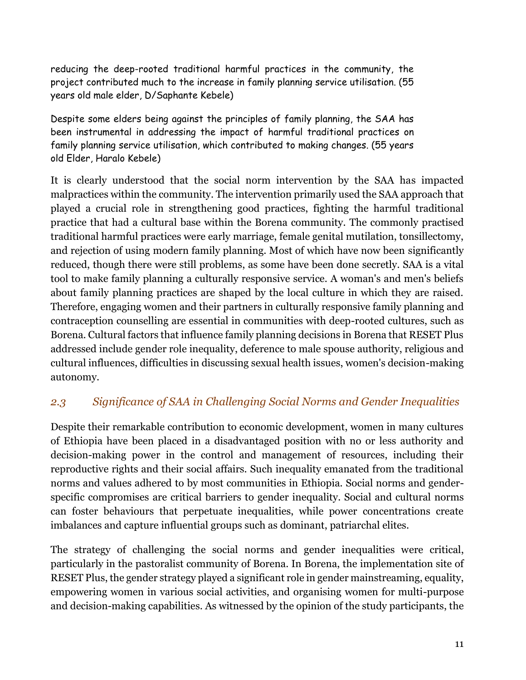reducing the deep-rooted traditional harmful practices in the community, the project contributed much to the increase in family planning service utilisation. (55 years old male elder, D/Saphante Kebele)

Despite some elders being against the principles of family planning, the SAA has been instrumental in addressing the impact of harmful traditional practices on family planning service utilisation, which contributed to making changes. (55 years old Elder, Haralo Kebele)

It is clearly understood that the social norm intervention by the SAA has impacted malpractices within the community. The intervention primarily used the SAA approach that played a crucial role in strengthening good practices, fighting the harmful traditional practice that had a cultural base within the Borena community. The commonly practised traditional harmful practices were early marriage, female genital mutilation, tonsillectomy, and rejection of using modern family planning. Most of which have now been significantly reduced, though there were still problems, as some have been done secretly. SAA is a vital tool to make family planning a culturally responsive service. A woman's and men's beliefs about family planning practices are shaped by the local culture in which they are raised. Therefore, engaging women and their partners in culturally responsive family planning and contraception counselling are essential in communities with deep-rooted cultures, such as Borena. Cultural factors that influence family planning decisions in Borena that RESET Plus addressed include gender role inequality, deference to male spouse authority, religious and cultural influences, difficulties in discussing sexual health issues, women's decision-making autonomy.

### <span id="page-15-0"></span>*2.3 Significance of SAA in Challenging Social Norms and Gender Inequalities*

Despite their remarkable contribution to economic development, women in many cultures of Ethiopia have been placed in a disadvantaged position with no or less authority and decision-making power in the control and management of resources, including their reproductive rights and their social affairs. Such inequality emanated from the traditional norms and values adhered to by most communities in Ethiopia. Social norms and genderspecific compromises are critical barriers to gender inequality. Social and cultural norms can foster behaviours that perpetuate inequalities, while power concentrations create imbalances and capture influential groups such as dominant, patriarchal elites.

The strategy of challenging the social norms and gender inequalities were critical, particularly in the pastoralist community of Borena. In Borena, the implementation site of RESET Plus, the gender strategy played a significant role in gender mainstreaming, equality, empowering women in various social activities, and organising women for multi-purpose and decision-making capabilities. As witnessed by the opinion of the study participants, the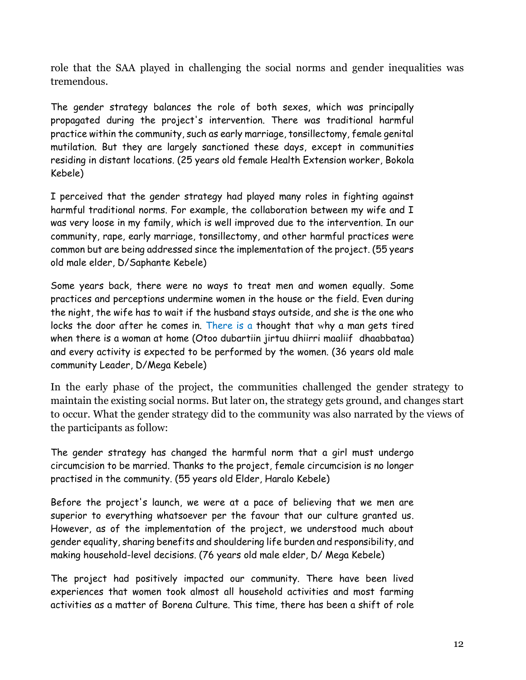role that the SAA played in challenging the social norms and gender inequalities was tremendous.

The gender strategy balances the role of both sexes, which was principally propagated during the project's intervention. There was traditional harmful practice within the community, such as early marriage, tonsillectomy, female genital mutilation. But they are largely sanctioned these days, except in communities residing in distant locations. (25 years old female Health Extension worker, Bokola Kebele)

I perceived that the gender strategy had played many roles in fighting against harmful traditional norms. For example, the collaboration between my wife and I was very loose in my family, which is well improved due to the intervention. In our community, rape, early marriage, tonsillectomy, and other harmful practices were common but are being addressed since the implementation of the project. (55 years old male elder, D/Saphante Kebele)

Some years back, there were no ways to treat men and women equally. Some practices and perceptions undermine women in the house or the field. Even during the night, the wife has to wait if the husband stays outside, and she is the one who locks the door after he comes in. There is a thought that why a man gets tired when there is a woman at home (Otoo dubartiin jirtuu dhiirri maaliif dhaabbataa) and every activity is expected to be performed by the women. (36 years old male community Leader, D/Mega Kebele)

In the early phase of the project, the communities challenged the gender strategy to maintain the existing social norms. But later on, the strategy gets ground, and changes start to occur. What the gender strategy did to the community was also narrated by the views of the participants as follow:

The gender strategy has changed the harmful norm that a girl must undergo circumcision to be married. Thanks to the project, female circumcision is no longer practised in the community. (55 years old Elder, Haralo Kebele)

Before the project's launch, we were at a pace of believing that we men are superior to everything whatsoever per the favour that our culture granted us. However, as of the implementation of the project, we understood much about gender equality, sharing benefits and shouldering life burden and responsibility, and making household-level decisions. (76 years old male elder, D/ Mega Kebele)

The project had positively impacted our community. There have been lived experiences that women took almost all household activities and most farming activities as a matter of Borena Culture. This time, there has been a shift of role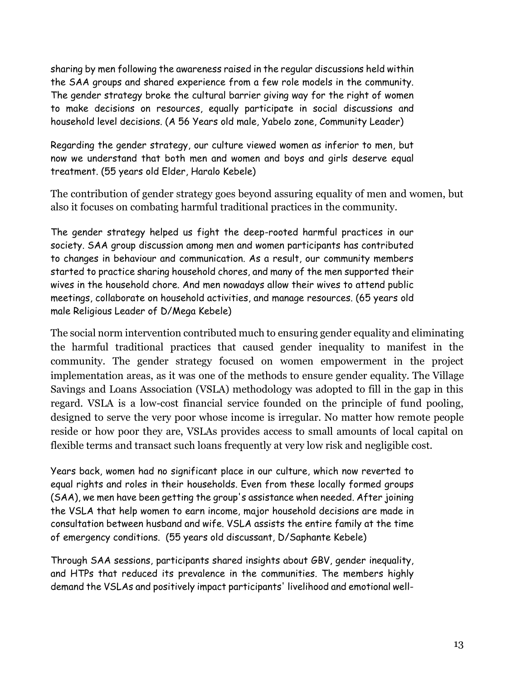sharing by men following the awareness raised in the regular discussions held within the SAA groups and shared experience from a few role models in the community. The gender strategy broke the cultural barrier giving way for the right of women to make decisions on resources, equally participate in social discussions and household level decisions. (A 56 Years old male, Yabelo zone, Community Leader)

Regarding the gender strategy, our culture viewed women as inferior to men, but now we understand that both men and women and boys and girls deserve equal treatment. (55 years old Elder, Haralo Kebele)

The contribution of gender strategy goes beyond assuring equality of men and women, but also it focuses on combating harmful traditional practices in the community.

The gender strategy helped us fight the deep-rooted harmful practices in our society. SAA group discussion among men and women participants has contributed to changes in behaviour and communication. As a result, our community members started to practice sharing household chores, and many of the men supported their wives in the household chore. And men nowadays allow their wives to attend public meetings, collaborate on household activities, and manage resources. (65 years old male Religious Leader of D/Mega Kebele)

The social norm intervention contributed much to ensuring gender equality and eliminating the harmful traditional practices that caused gender inequality to manifest in the community. The gender strategy focused on women empowerment in the project implementation areas, as it was one of the methods to ensure gender equality. The Village Savings and Loans Association (VSLA) methodology was adopted to fill in the gap in this regard. VSLA is a low-cost financial service founded on the principle of fund pooling, designed to serve the very poor whose income is irregular. No matter how remote people reside or how poor they are, VSLAs provides access to small amounts of local capital on flexible terms and transact such loans frequently at very low risk and negligible cost.

Years back, women had no significant place in our culture, which now reverted to equal rights and roles in their households. Even from these locally formed groups (SAA), we men have been getting the group's assistance when needed. After joining the VSLA that help women to earn income, major household decisions are made in consultation between husband and wife. VSLA assists the entire family at the time of emergency conditions. (55 years old discussant, D/Saphante Kebele)

Through SAA sessions, participants shared insights about GBV, gender inequality, and HTPs that reduced its prevalence in the communities. The members highly demand the VSLAs and positively impact participants' livelihood and emotional well-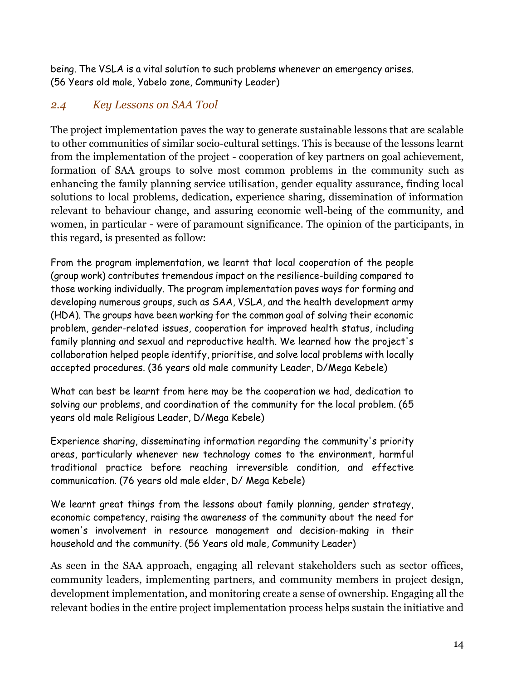being. The VSLA is a vital solution to such problems whenever an emergency arises. (56 Years old male, Yabelo zone, Community Leader)

### <span id="page-18-0"></span>*2.4 Key Lessons on SAA Tool*

The project implementation paves the way to generate sustainable lessons that are scalable to other communities of similar socio-cultural settings. This is because of the lessons learnt from the implementation of the project - cooperation of key partners on goal achievement, formation of SAA groups to solve most common problems in the community such as enhancing the family planning service utilisation, gender equality assurance, finding local solutions to local problems, dedication, experience sharing, dissemination of information relevant to behaviour change, and assuring economic well-being of the community, and women, in particular - were of paramount significance. The opinion of the participants, in this regard, is presented as follow:

From the program implementation, we learnt that local cooperation of the people (group work) contributes tremendous impact on the resilience-building compared to those working individually. The program implementation paves ways for forming and developing numerous groups, such as SAA, VSLA, and the health development army (HDA). The groups have been working for the common goal of solving their economic problem, gender-related issues, cooperation for improved health status, including family planning and sexual and reproductive health. We learned how the project's collaboration helped people identify, prioritise, and solve local problems with locally accepted procedures. (36 years old male community Leader, D/Mega Kebele)

What can best be learnt from here may be the cooperation we had, dedication to solving our problems, and coordination of the community for the local problem. (65 years old male Religious Leader, D/Mega Kebele)

Experience sharing, disseminating information regarding the community's priority areas, particularly whenever new technology comes to the environment, harmful traditional practice before reaching irreversible condition, and effective communication. (76 years old male elder, D/ Mega Kebele)

We learnt great things from the lessons about family planning, gender strategy, economic competency, raising the awareness of the community about the need for women's involvement in resource management and decision-making in their household and the community. (56 Years old male, Community Leader)

As seen in the SAA approach, engaging all relevant stakeholders such as sector offices, community leaders, implementing partners, and community members in project design, development implementation, and monitoring create a sense of ownership. Engaging all the relevant bodies in the entire project implementation process helps sustain the initiative and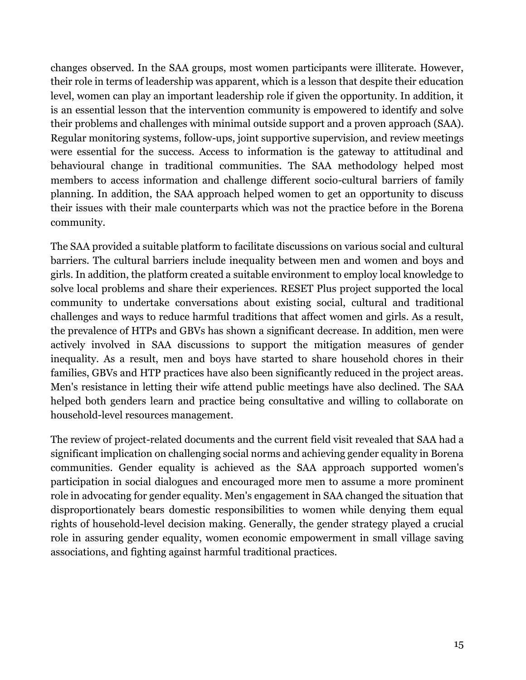changes observed. In the SAA groups, most women participants were illiterate. However, their role in terms of leadership was apparent, which is a lesson that despite their education level, women can play an important leadership role if given the opportunity. In addition, it is an essential lesson that the intervention community is empowered to identify and solve their problems and challenges with minimal outside support and a proven approach (SAA). Regular monitoring systems, follow-ups, joint supportive supervision, and review meetings were essential for the success. Access to information is the gateway to attitudinal and behavioural change in traditional communities. The SAA methodology helped most members to access information and challenge different socio-cultural barriers of family planning. In addition, the SAA approach helped women to get an opportunity to discuss their issues with their male counterparts which was not the practice before in the Borena community.

The SAA provided a suitable platform to facilitate discussions on various social and cultural barriers. The cultural barriers include inequality between men and women and boys and girls. In addition, the platform created a suitable environment to employ local knowledge to solve local problems and share their experiences. RESET Plus project supported the local community to undertake conversations about existing social, cultural and traditional challenges and ways to reduce harmful traditions that affect women and girls. As a result, the prevalence of HTPs and GBVs has shown a significant decrease. In addition, men were actively involved in SAA discussions to support the mitigation measures of gender inequality. As a result, men and boys have started to share household chores in their families, GBVs and HTP practices have also been significantly reduced in the project areas. Men's resistance in letting their wife attend public meetings have also declined. The SAA helped both genders learn and practice being consultative and willing to collaborate on household-level resources management.

The review of project-related documents and the current field visit revealed that SAA had a significant implication on challenging social norms and achieving gender equality in Borena communities. Gender equality is achieved as the SAA approach supported women's participation in social dialogues and encouraged more men to assume a more prominent role in advocating for gender equality. Men's engagement in SAA changed the situation that disproportionately bears domestic responsibilities to women while denying them equal rights of household-level decision making. Generally, the gender strategy played a crucial role in assuring gender equality, women economic empowerment in small village saving associations, and fighting against harmful traditional practices.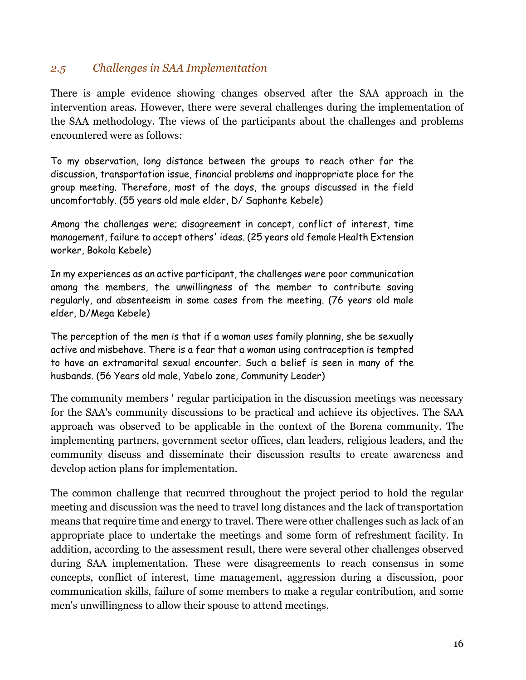### <span id="page-20-0"></span>*2.5 Challenges in SAA Implementation*

There is ample evidence showing changes observed after the SAA approach in the intervention areas. However, there were several challenges during the implementation of the SAA methodology. The views of the participants about the challenges and problems encountered were as follows:

To my observation, long distance between the groups to reach other for the discussion, transportation issue, financial problems and inappropriate place for the group meeting. Therefore, most of the days, the groups discussed in the field uncomfortably. (55 years old male elder, D/ Saphante Kebele)

Among the challenges were; disagreement in concept, conflict of interest, time management, failure to accept others' ideas. (25 years old female Health Extension worker, Bokola Kebele)

In my experiences as an active participant, the challenges were poor communication among the members, the unwillingness of the member to contribute saving regularly, and absenteeism in some cases from the meeting. (76 years old male elder, D/Mega Kebele)

The perception of the men is that if a woman uses family planning, she be sexually active and misbehave. There is a fear that a woman using contraception is tempted to have an extramarital sexual encounter. Such a belief is seen in many of the husbands. (56 Years old male, Yabelo zone, Community Leader)

The community members ' regular participation in the discussion meetings was necessary for the SAA's community discussions to be practical and achieve its objectives. The SAA approach was observed to be applicable in the context of the Borena community. The implementing partners, government sector offices, clan leaders, religious leaders, and the community discuss and disseminate their discussion results to create awareness and develop action plans for implementation.

The common challenge that recurred throughout the project period to hold the regular meeting and discussion was the need to travel long distances and the lack of transportation means that require time and energy to travel. There were other challenges such as lack of an appropriate place to undertake the meetings and some form of refreshment facility. In addition, according to the assessment result, there were several other challenges observed during SAA implementation. These were disagreements to reach consensus in some concepts, conflict of interest, time management, aggression during a discussion, poor communication skills, failure of some members to make a regular contribution, and some men's unwillingness to allow their spouse to attend meetings.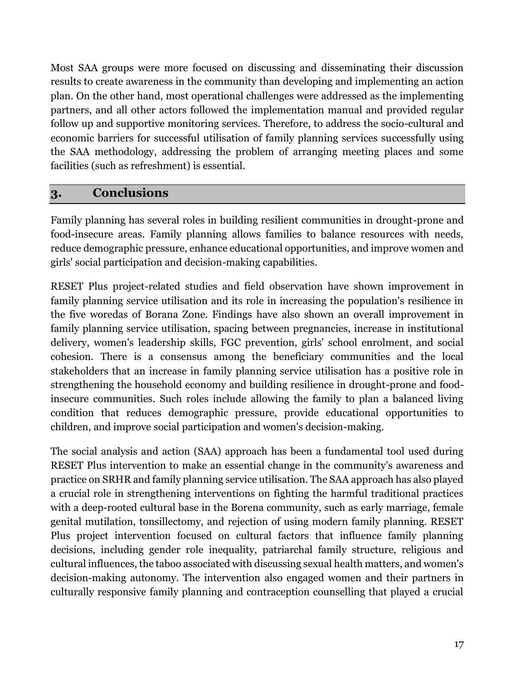Most SAA groups were more focused on discussing and disseminating their discussion results to create awareness in the community than developing and implementing an action plan. On the other hand, most operational challenges were addressed as the implementing partners, and all other actors followed the implementation manual and provided regular follow up and supportive monitoring services. Therefore, to address the socio-cultural and economic barriers for successful utilisation of family planning services successfully using the SAA methodology, addressing the problem of arranging meeting places and some facilities (such as refreshment) is essential.

### <span id="page-21-0"></span>**3. Conclusions**

Family planning has several roles in building resilient communities in drought-prone and food-insecure areas. Family planning allows families to balance resources with needs, reduce demographic pressure, enhance educational opportunities, and improve women and girls' social participation and decision-making capabilities.

RESET Plus project-related studies and field observation have shown improvement in family planning service utilisation and its role in increasing the population's resilience in the five woredas of Borana Zone. Findings have also shown an overall improvement in family planning service utilisation, spacing between pregnancies, increase in institutional delivery, women's leadership skills, FGC prevention, girls' school enrolment, and social cohesion. There is a consensus among the beneficiary communities and the local stakeholders that an increase in family planning service utilisation has a positive role in strengthening the household economy and building resilience in drought-prone and foodinsecure communities. Such roles include allowing the family to plan a balanced living condition that reduces demographic pressure, provide educational opportunities to children, and improve social participation and women's decision-making.

The social analysis and action (SAA) approach has been a fundamental tool used during RESET Plus intervention to make an essential change in the community's awareness and practice on SRHR and family planning service utilisation. The SAA approach has also played a crucial role in strengthening interventions on fighting the harmful traditional practices with a deep-rooted cultural base in the Borena community, such as early marriage, female genital mutilation, tonsillectomy, and rejection of using modern family planning. RESET Plus project intervention focused on cultural factors that influence family planning decisions, including gender role inequality, patriarchal family structure, religious and cultural influences, the taboo associated with discussing sexual health matters, and women's decision-making autonomy. The intervention also engaged women and their partners in culturally responsive family planning and contraception counselling that played a crucial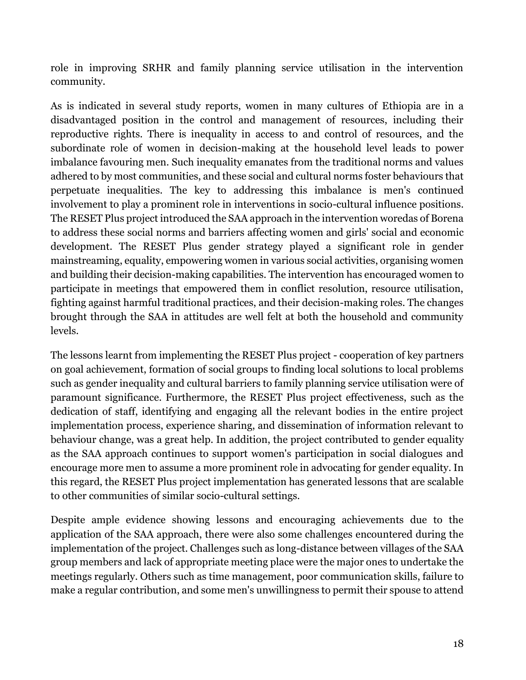role in improving SRHR and family planning service utilisation in the intervention community.

As is indicated in several study reports, women in many cultures of Ethiopia are in a disadvantaged position in the control and management of resources, including their reproductive rights. There is inequality in access to and control of resources, and the subordinate role of women in decision-making at the household level leads to power imbalance favouring men. Such inequality emanates from the traditional norms and values adhered to by most communities, and these social and cultural norms foster behaviours that perpetuate inequalities. The key to addressing this imbalance is men's continued involvement to play a prominent role in interventions in socio-cultural influence positions. The RESET Plus project introduced the SAA approach in the intervention woredas of Borena to address these social norms and barriers affecting women and girls' social and economic development. The RESET Plus gender strategy played a significant role in gender mainstreaming, equality, empowering women in various social activities, organising women and building their decision-making capabilities. The intervention has encouraged women to participate in meetings that empowered them in conflict resolution, resource utilisation, fighting against harmful traditional practices, and their decision-making roles. The changes brought through the SAA in attitudes are well felt at both the household and community levels.

The lessons learnt from implementing the RESET Plus project - cooperation of key partners on goal achievement, formation of social groups to finding local solutions to local problems such as gender inequality and cultural barriers to family planning service utilisation were of paramount significance. Furthermore, the RESET Plus project effectiveness, such as the dedication of staff, identifying and engaging all the relevant bodies in the entire project implementation process, experience sharing, and dissemination of information relevant to behaviour change, was a great help. In addition, the project contributed to gender equality as the SAA approach continues to support women's participation in social dialogues and encourage more men to assume a more prominent role in advocating for gender equality. In this regard, the RESET Plus project implementation has generated lessons that are scalable to other communities of similar socio-cultural settings.

Despite ample evidence showing lessons and encouraging achievements due to the application of the SAA approach, there were also some challenges encountered during the implementation of the project. Challenges such as long-distance between villages of the SAA group members and lack of appropriate meeting place were the major ones to undertake the meetings regularly. Others such as time management, poor communication skills, failure to make a regular contribution, and some men's unwillingness to permit their spouse to attend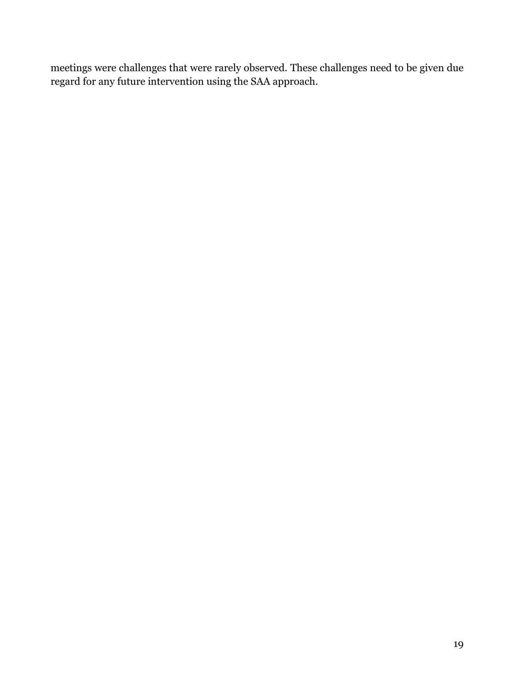meetings were challenges that were rarely observed. These challenges need to be given due regard for any future intervention using the SAA approach.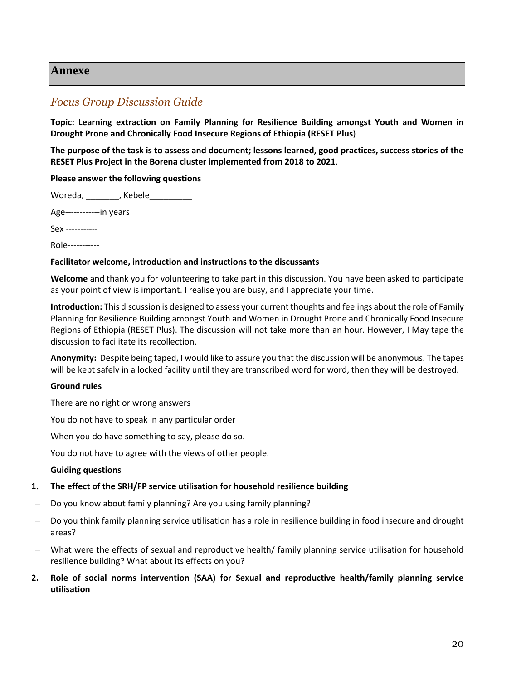#### <span id="page-24-0"></span>**Annexe**

#### <span id="page-24-1"></span>*Focus Group Discussion Guide*

**Topic: Learning extraction on Family Planning for Resilience Building amongst Youth and Women in Drought Prone and Chronically Food Insecure Regions of Ethiopia (RESET Plus**)

**The purpose of the task is to assess and document; lessons learned, good practices, success stories of the RESET Plus Project in the Borena cluster implemented from 2018 to 2021**.

#### **Please answer the following questions**

Woreda, \_\_\_\_\_\_\_, Kebele\_\_\_\_\_\_\_\_\_

Age------------in years

Sex -----------

Role-----------

#### **Facilitator welcome, introduction and instructions to the discussants**

**Welcome** and thank you for volunteering to take part in this discussion. You have been asked to participate as your point of view is important. I realise you are busy, and I appreciate your time.

**Introduction:** This discussion is designed to assess your current thoughts and feelings about the role of Family Planning for Resilience Building amongst Youth and Women in Drought Prone and Chronically Food Insecure Regions of Ethiopia (RESET Plus). The discussion will not take more than an hour. However, I May tape the discussion to facilitate its recollection.

**Anonymity:** Despite being taped, I would like to assure you that the discussion will be anonymous. The tapes will be kept safely in a locked facility until they are transcribed word for word, then they will be destroyed.

#### **Ground rules**

There are no right or wrong answers

You do not have to speak in any particular order

When you do have something to say, please do so.

You do not have to agree with the views of other people.

#### **Guiding questions**

#### **1. The effect of the SRH/FP service utilisation for household resilience building**

- Do you know about family planning? Are you using family planning?
- Do you think family planning service utilisation has a role in resilience building in food insecure and drought areas?
- What were the effects of sexual and reproductive health/ family planning service utilisation for household resilience building? What about its effects on you?
- **2. Role of social norms intervention (SAA) for Sexual and reproductive health/family planning service utilisation**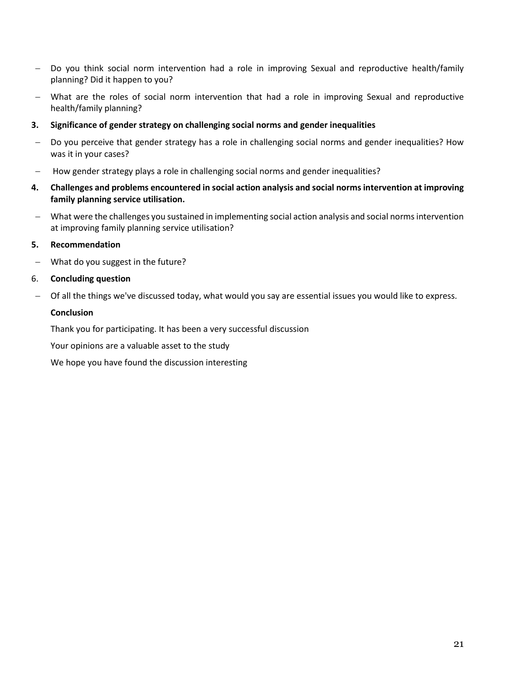- Do you think social norm intervention had a role in improving Sexual and reproductive health/family planning? Did it happen to you?
- What are the roles of social norm intervention that had a role in improving Sexual and reproductive health/family planning?
- **3. Significance of gender strategy on challenging social norms and gender inequalities**
- Do you perceive that gender strategy has a role in challenging social norms and gender inequalities? How was it in your cases?
- How gender strategy plays a role in challenging social norms and gender inequalities?
- **4. Challenges and problems encountered in social action analysis and social norms intervention at improving family planning service utilisation.**
- What were the challenges you sustained in implementing social action analysis and social norms intervention at improving family planning service utilisation?
- **5. Recommendation**
- What do you suggest in the future?
- 6. **Concluding question**
- Of all the things we've discussed today, what would you say are essential issues you would like to express.

#### **Conclusion**

Thank you for participating. It has been a very successful discussion

Your opinions are a valuable asset to the study

We hope you have found the discussion interesting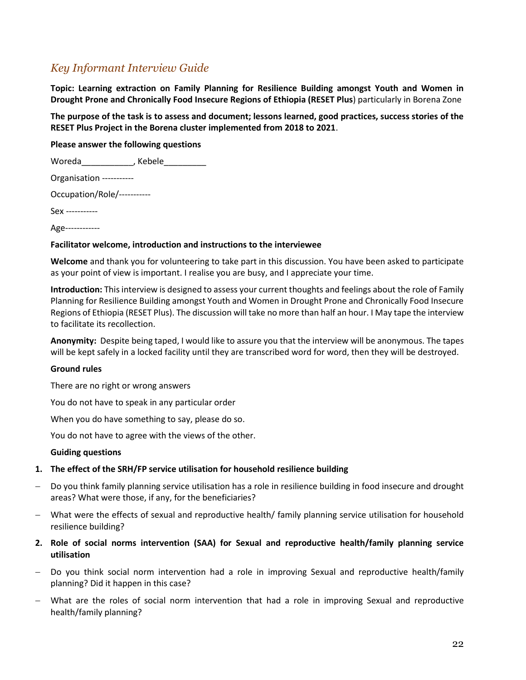### <span id="page-26-0"></span>*Key Informant Interview Guide*

**Topic: Learning extraction on Family Planning for Resilience Building amongst Youth and Women in Drought Prone and Chronically Food Insecure Regions of Ethiopia (RESET Plus**) particularly in Borena Zone

**The purpose of the task is to assess and document; lessons learned, good practices, success stories of the RESET Plus Project in the Borena cluster implemented from 2018 to 2021**.

**Please answer the following questions** 

| Kebele                      |
|-----------------------------|
|                             |
| Occupation/Role/----------- |
|                             |
|                             |
|                             |

#### **Facilitator welcome, introduction and instructions to the interviewee**

**Welcome** and thank you for volunteering to take part in this discussion. You have been asked to participate as your point of view is important. I realise you are busy, and I appreciate your time.

**Introduction:** This interview is designed to assess your current thoughts and feelings about the role of Family Planning for Resilience Building amongst Youth and Women in Drought Prone and Chronically Food Insecure Regions of Ethiopia (RESET Plus). The discussion will take no more than half an hour. I May tape the interview to facilitate its recollection.

**Anonymity:** Despite being taped, I would like to assure you that the interview will be anonymous. The tapes will be kept safely in a locked facility until they are transcribed word for word, then they will be destroyed.

#### **Ground rules**

There are no right or wrong answers

You do not have to speak in any particular order

When you do have something to say, please do so.

You do not have to agree with the views of the other.

#### **Guiding questions**

#### **1. The effect of the SRH/FP service utilisation for household resilience building**

- Do you think family planning service utilisation has a role in resilience building in food insecure and drought areas? What were those, if any, for the beneficiaries?
- What were the effects of sexual and reproductive health/ family planning service utilisation for household resilience building?
- **2. Role of social norms intervention (SAA) for Sexual and reproductive health/family planning service utilisation**
- Do you think social norm intervention had a role in improving Sexual and reproductive health/family planning? Did it happen in this case?
- What are the roles of social norm intervention that had a role in improving Sexual and reproductive health/family planning?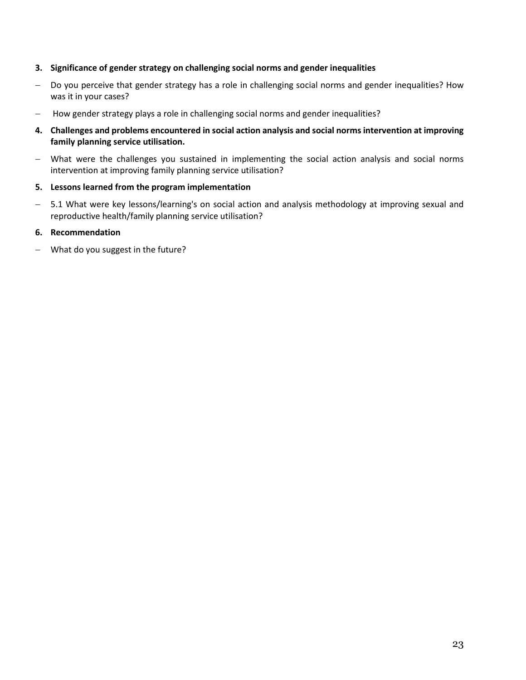#### **3. Significance of gender strategy on challenging social norms and gender inequalities**

- Do you perceive that gender strategy has a role in challenging social norms and gender inequalities? How was it in your cases?
- How gender strategy plays a role in challenging social norms and gender inequalities?
- **4. Challenges and problems encountered in social action analysis and social norms intervention at improving family planning service utilisation.**
- What were the challenges you sustained in implementing the social action analysis and social norms intervention at improving family planning service utilisation?
- **5. Lessons learned from the program implementation**
- 5.1 What were key lessons/learning's on social action and analysis methodology at improving sexual and reproductive health/family planning service utilisation?

#### **6. Recommendation**

What do you suggest in the future?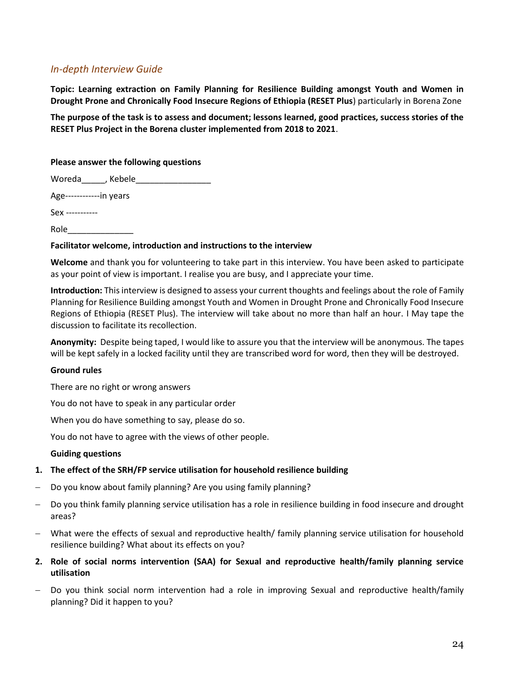#### <span id="page-28-0"></span>*In-depth Interview Guide*

**Topic: Learning extraction on Family Planning for Resilience Building amongst Youth and Women in Drought Prone and Chronically Food Insecure Regions of Ethiopia (RESET Plus**) particularly in Borena Zone

**The purpose of the task is to assess and document; lessons learned, good practices, success stories of the RESET Plus Project in the Borena cluster implemented from 2018 to 2021**.

#### **Please answer the following questions**

Woreda\_\_\_\_\_, Kebele\_\_\_\_\_\_\_\_\_\_\_\_\_\_\_\_

Age------------in years

Sex -----------

Role\_\_\_\_\_\_\_\_\_\_\_\_\_\_

#### **Facilitator welcome, introduction and instructions to the interview**

**Welcome** and thank you for volunteering to take part in this interview. You have been asked to participate as your point of view is important. I realise you are busy, and I appreciate your time.

**Introduction:** This interview is designed to assess your current thoughts and feelings about the role of Family Planning for Resilience Building amongst Youth and Women in Drought Prone and Chronically Food Insecure Regions of Ethiopia (RESET Plus). The interview will take about no more than half an hour. I May tape the discussion to facilitate its recollection.

**Anonymity:** Despite being taped, I would like to assure you that the interview will be anonymous. The tapes will be kept safely in a locked facility until they are transcribed word for word, then they will be destroyed.

#### **Ground rules**

There are no right or wrong answers

You do not have to speak in any particular order

When you do have something to say, please do so.

You do not have to agree with the views of other people.

#### **Guiding questions**

#### **1. The effect of the SRH/FP service utilisation for household resilience building**

- Do you know about family planning? Are you using family planning?
- Do you think family planning service utilisation has a role in resilience building in food insecure and drought areas?
- What were the effects of sexual and reproductive health/ family planning service utilisation for household resilience building? What about its effects on you?
- **2. Role of social norms intervention (SAA) for Sexual and reproductive health/family planning service utilisation**
- Do you think social norm intervention had a role in improving Sexual and reproductive health/family planning? Did it happen to you?